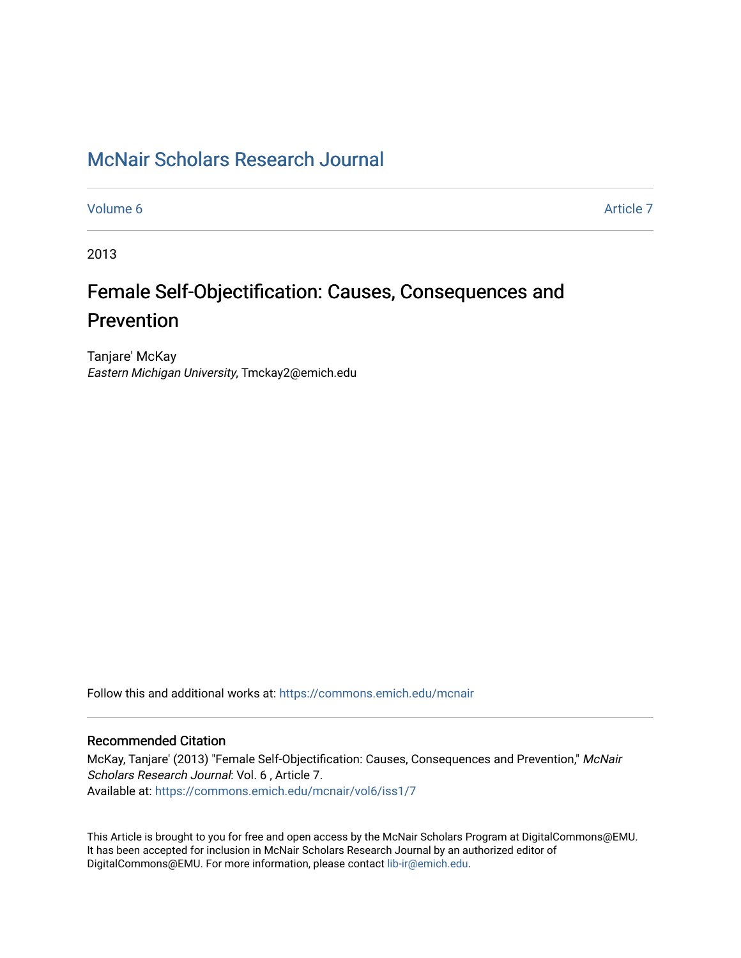## [McNair Scholars Research Journal](https://commons.emich.edu/mcnair)

[Volume 6](https://commons.emich.edu/mcnair/vol6) [Article 7](https://commons.emich.edu/mcnair/vol6/iss1/7) 

2013

# Female Self-Objectification: Causes, Consequences and Prevention

Tanjare' McKay Eastern Michigan University, Tmckay2@emich.edu

Follow this and additional works at: [https://commons.emich.edu/mcnair](https://commons.emich.edu/mcnair?utm_source=commons.emich.edu%2Fmcnair%2Fvol6%2Fiss1%2F7&utm_medium=PDF&utm_campaign=PDFCoverPages) 

### Recommended Citation

McKay, Tanjare' (2013) "Female Self-Objectification: Causes, Consequences and Prevention," McNair Scholars Research Journal: Vol. 6 , Article 7. Available at: [https://commons.emich.edu/mcnair/vol6/iss1/7](https://commons.emich.edu/mcnair/vol6/iss1/7?utm_source=commons.emich.edu%2Fmcnair%2Fvol6%2Fiss1%2F7&utm_medium=PDF&utm_campaign=PDFCoverPages)

This Article is brought to you for free and open access by the McNair Scholars Program at DigitalCommons@EMU. It has been accepted for inclusion in McNair Scholars Research Journal by an authorized editor of DigitalCommons@EMU. For more information, please contact [lib-ir@emich.edu](mailto:lib-ir@emich.edu).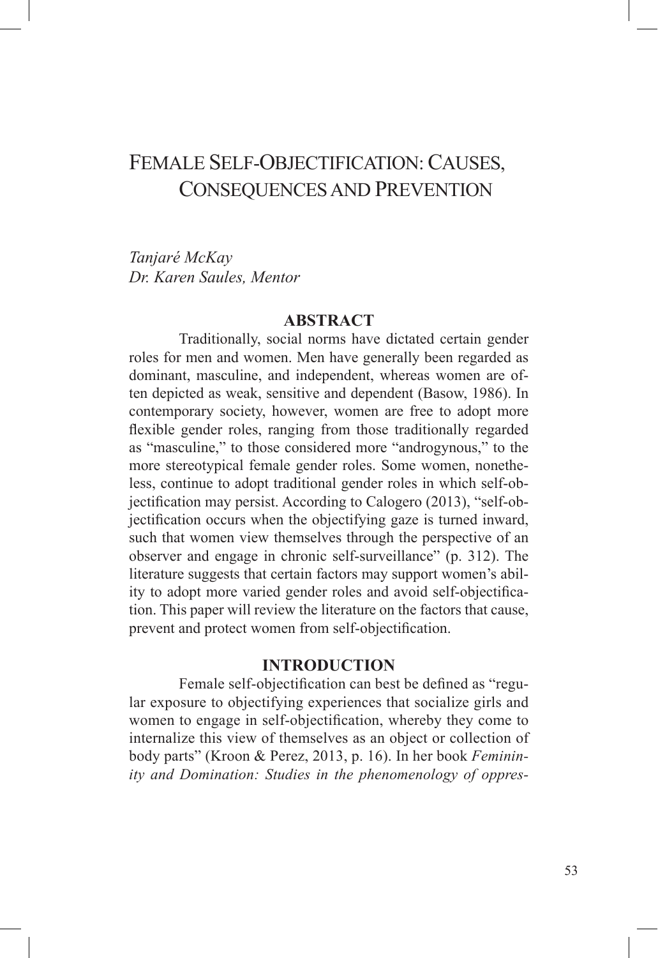## FEMALE SELF-OBJECTIFICATION: CAUSES, CONSEQUENCES AND PREVENTION

*Tanjaré McKay Dr. Karen Saules, Mentor*

#### **ABSTRACT**

Traditionally, social norms have dictated certain gender roles for men and women. Men have generally been regarded as dominant, masculine, and independent, whereas women are often depicted as weak, sensitive and dependent (Basow, 1986). In contemporary society, however, women are free to adopt more flexible gender roles, ranging from those traditionally regarded as "masculine," to those considered more "androgynous," to the more stereotypical female gender roles. Some women, nonetheless, continue to adopt traditional gender roles in which self-objectification may persist. According to Calogero (2013), "self-objectification occurs when the objectifying gaze is turned inward, such that women view themselves through the perspective of an observer and engage in chronic self-surveillance" (p. 312). The literature suggests that certain factors may support women's ability to adopt more varied gender roles and avoid self-objectification. This paper will review the literature on the factors that cause, prevent and protect women from self-objectification.

#### **INTRODUCTION**

Female self-objectification can best be defined as "regular exposure to objectifying experiences that socialize girls and women to engage in self-objectification, whereby they come to internalize this view of themselves as an object or collection of body parts" (Kroon & Perez, 2013, p. 16). In her book *Femininity and Domination: Studies in the phenomenology of oppres-*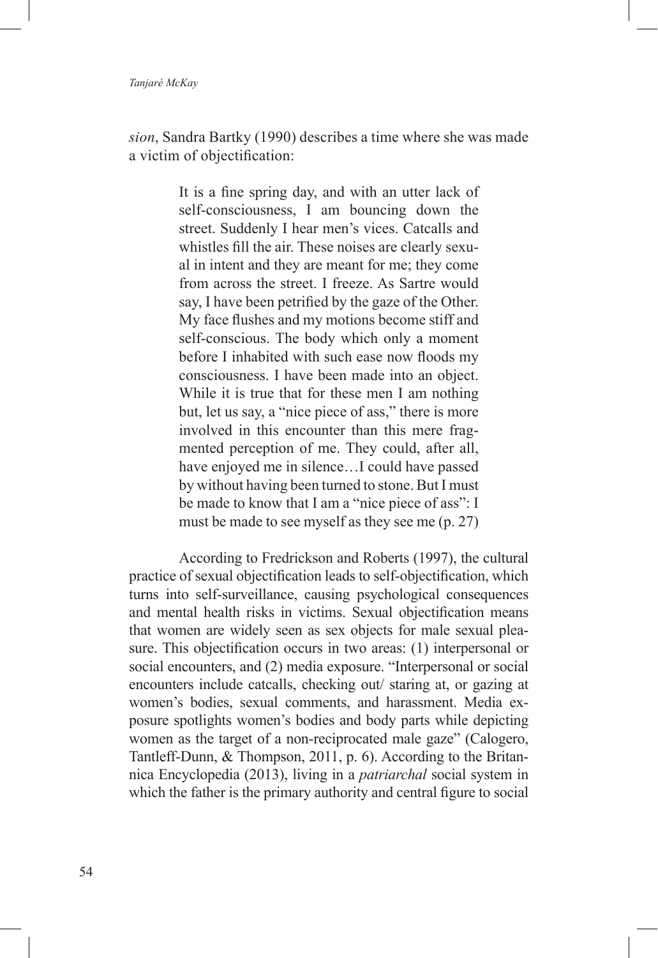#### *Tanjaré McKay*

*sion*, Sandra Bartky (1990) describes a time where she was made a victim of objectification:

> It is a fine spring day, and with an utter lack of self-consciousness, I am bouncing down the street. Suddenly I hear men's vices. Catcalls and whistles fill the air. These noises are clearly sexual in intent and they are meant for me; they come from across the street. I freeze. As Sartre would say, I have been petrified by the gaze of the Other. My face flushes and my motions become stiff and self-conscious. The body which only a moment before I inhabited with such ease now floods my consciousness. I have been made into an object. While it is true that for these men I am nothing but, let us say, a "nice piece of ass," there is more involved in this encounter than this mere fragmented perception of me. They could, after all, have enjoyed me in silence…I could have passed by without having been turned to stone. But I must be made to know that I am a "nice piece of ass": I must be made to see myself as they see me (p. 27)

According to Fredrickson and Roberts (1997), the cultural practice of sexual objectification leads to self-objectification, which turns into self-surveillance, causing psychological consequences and mental health risks in victims. Sexual objectification means that women are widely seen as sex objects for male sexual pleasure. This objectification occurs in two areas: (1) interpersonal or social encounters, and (2) media exposure. "Interpersonal or social encounters include catcalls, checking out/ staring at, or gazing at women's bodies, sexual comments, and harassment. Media exposure spotlights women's bodies and body parts while depicting women as the target of a non-reciprocated male gaze" (Calogero, Tantleff-Dunn, & Thompson, 2011, p. 6). According to the Britannica Encyclopedia (2013), living in a *patriarchal* social system in which the father is the primary authority and central figure to social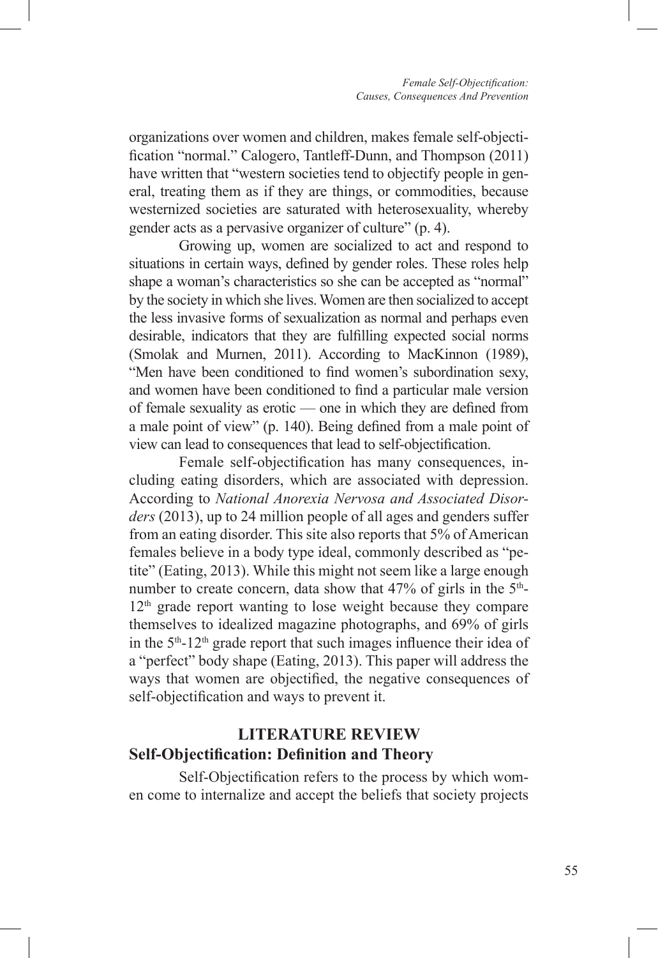organizations over women and children, makes female self-objectification "normal." Calogero, Tantleff-Dunn, and Thompson (2011) have written that "western societies tend to objectify people in general, treating them as if they are things, or commodities, because westernized societies are saturated with heterosexuality, whereby gender acts as a pervasive organizer of culture" (p. 4).

Growing up, women are socialized to act and respond to situations in certain ways, defined by gender roles. These roles help shape a woman's characteristics so she can be accepted as "normal" by the society in which she lives. Women are then socialized to accept the less invasive forms of sexualization as normal and perhaps even desirable, indicators that they are fulfilling expected social norms (Smolak and Murnen, 2011). According to MacKinnon (1989), "Men have been conditioned to find women's subordination sexy, and women have been conditioned to find a particular male version of female sexuality as erotic — one in which they are defined from a male point of view" (p. 140). Being defined from a male point of view can lead to consequences that lead to self-objectification.

Female self-objectification has many consequences, including eating disorders, which are associated with depression. According to *National Anorexia Nervosa and Associated Disorders* (2013), up to 24 million people of all ages and genders suffer from an eating disorder. This site also reports that 5% of American females believe in a body type ideal, commonly described as "petite" (Eating, 2013). While this might not seem like a large enough number to create concern, data show that  $47\%$  of girls in the  $5<sup>th</sup>$ - $12<sup>th</sup>$  grade report wanting to lose weight because they compare themselves to idealized magazine photographs, and 69% of girls in the  $5<sup>th</sup>$ -12<sup>th</sup> grade report that such images influence their idea of a "perfect" body shape (Eating, 2013). This paper will address the ways that women are objectified, the negative consequences of self-objectification and ways to prevent it.

## **LITERATURE REVIEW Self-Objectification: Definition and Theory**

Self-Objectification refers to the process by which women come to internalize and accept the beliefs that society projects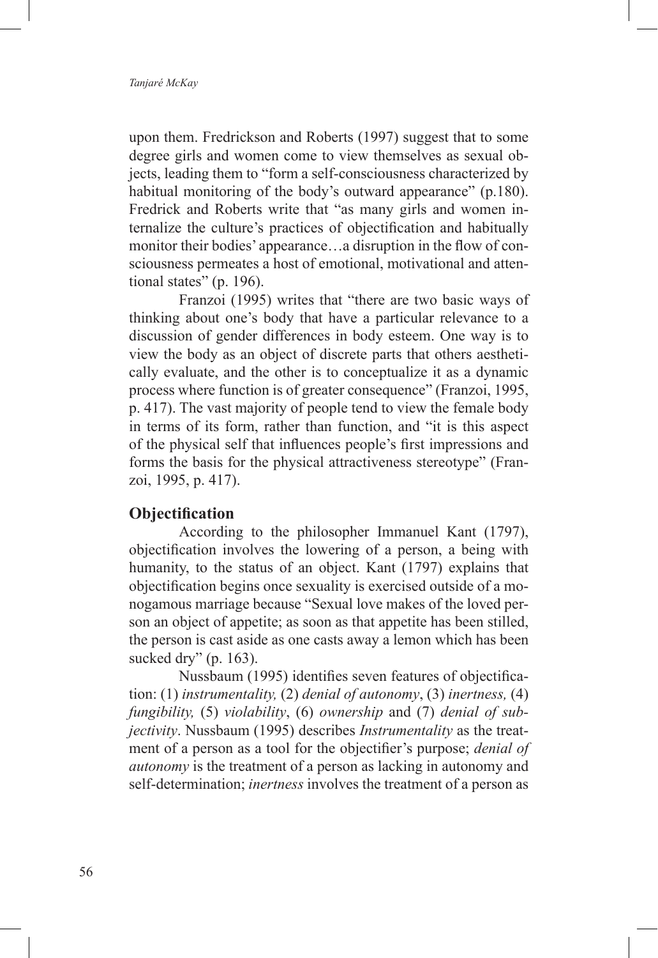upon them. Fredrickson and Roberts (1997) suggest that to some degree girls and women come to view themselves as sexual objects, leading them to "form a self-consciousness characterized by habitual monitoring of the body's outward appearance" (p.180). Fredrick and Roberts write that "as many girls and women internalize the culture's practices of objectification and habitually monitor their bodies' appearance…a disruption in the flow of consciousness permeates a host of emotional, motivational and attentional states" (p. 196).

Franzoi (1995) writes that "there are two basic ways of thinking about one's body that have a particular relevance to a discussion of gender differences in body esteem. One way is to view the body as an object of discrete parts that others aesthetically evaluate, and the other is to conceptualize it as a dynamic process where function is of greater consequence" (Franzoi, 1995, p. 417). The vast majority of people tend to view the female body in terms of its form, rather than function, and "it is this aspect of the physical self that influences people's first impressions and forms the basis for the physical attractiveness stereotype" (Franzoi, 1995, p. 417).

#### **Objectification**

According to the philosopher Immanuel Kant (1797), objectification involves the lowering of a person, a being with humanity, to the status of an object. Kant (1797) explains that objectification begins once sexuality is exercised outside of a monogamous marriage because "Sexual love makes of the loved person an object of appetite; as soon as that appetite has been stilled, the person is cast aside as one casts away a lemon which has been sucked dry" (p. 163).

Nussbaum (1995) identifies seven features of objectification: (1) *instrumentality,* (2) *denial of autonomy*, (3) *inertness,* (4) *fungibility,* (5) *violability*, (6) *ownership* and (7) *denial of subjectivity*. Nussbaum (1995) describes *Instrumentality* as the treatment of a person as a tool for the objectifier's purpose; *denial of autonomy* is the treatment of a person as lacking in autonomy and self-determination; *inertness* involves the treatment of a person as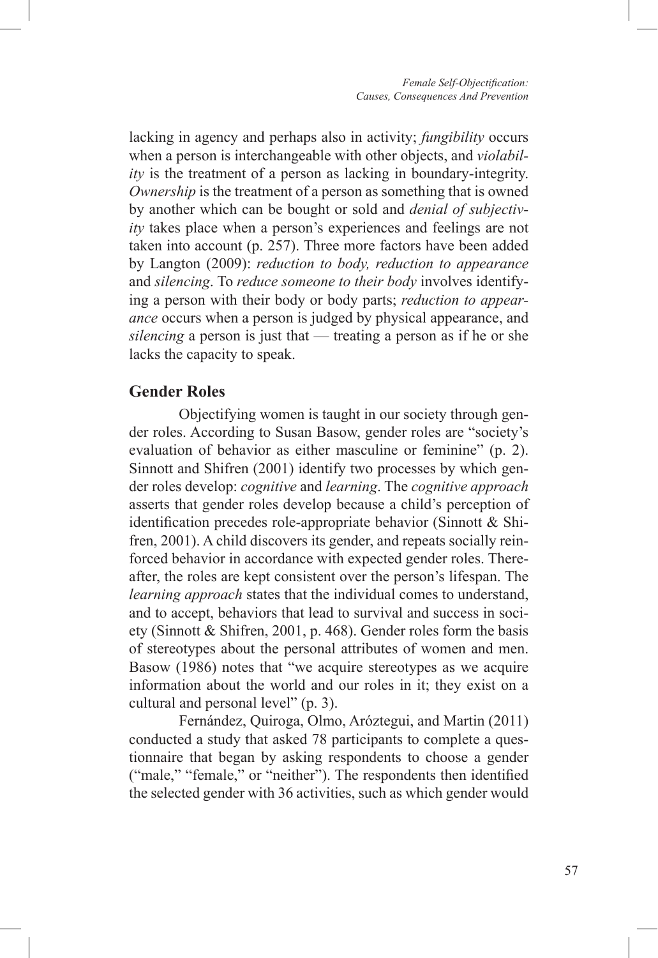lacking in agency and perhaps also in activity; *fungibility* occurs when a person is interchangeable with other objects, and *violability* is the treatment of a person as lacking in boundary-integrity. *Ownership* is the treatment of a person as something that is owned by another which can be bought or sold and *denial of subjectivity* takes place when a person's experiences and feelings are not taken into account (p. 257). Three more factors have been added by Langton (2009): *reduction to body, reduction to appearance*  and *silencing*. To *reduce someone to their body* involves identifying a person with their body or body parts; *reduction to appearance* occurs when a person is judged by physical appearance, and *silencing* a person is just that — treating a person as if he or she lacks the capacity to speak.

### **Gender Roles**

Objectifying women is taught in our society through gender roles. According to Susan Basow, gender roles are "society's evaluation of behavior as either masculine or feminine" (p. 2). Sinnott and Shifren (2001) identify two processes by which gender roles develop: *cognitive* and *learning*. The *cognitive approach* asserts that gender roles develop because a child's perception of identification precedes role-appropriate behavior (Sinnott & Shifren, 2001). A child discovers its gender, and repeats socially reinforced behavior in accordance with expected gender roles. Thereafter, the roles are kept consistent over the person's lifespan. The *learning approach* states that the individual comes to understand, and to accept, behaviors that lead to survival and success in society (Sinnott & Shifren, 2001, p. 468). Gender roles form the basis of stereotypes about the personal attributes of women and men. Basow (1986) notes that "we acquire stereotypes as we acquire information about the world and our roles in it; they exist on a cultural and personal level" (p. 3).

Fernández, Quiroga, Olmo, Aróztegui, and Martin (2011) conducted a study that asked 78 participants to complete a questionnaire that began by asking respondents to choose a gender ("male," "female," or "neither"). The respondents then identified the selected gender with 36 activities, such as which gender would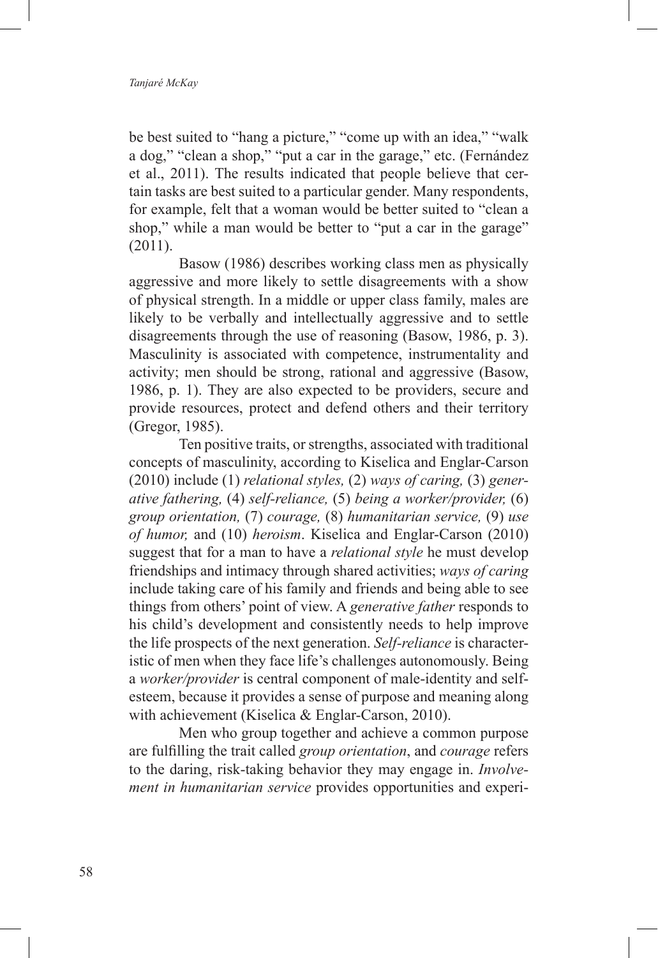be best suited to "hang a picture," "come up with an idea," "walk a dog," "clean a shop," "put a car in the garage," etc. (Fernández et al., 2011). The results indicated that people believe that certain tasks are best suited to a particular gender. Many respondents, for example, felt that a woman would be better suited to "clean a shop," while a man would be better to "put a car in the garage" (2011).

Basow (1986) describes working class men as physically aggressive and more likely to settle disagreements with a show of physical strength. In a middle or upper class family, males are likely to be verbally and intellectually aggressive and to settle disagreements through the use of reasoning (Basow, 1986, p. 3). Masculinity is associated with competence, instrumentality and activity; men should be strong, rational and aggressive (Basow, 1986, p. 1). They are also expected to be providers, secure and provide resources, protect and defend others and their territory (Gregor, 1985).

Ten positive traits, or strengths, associated with traditional concepts of masculinity, according to Kiselica and Englar-Carson (2010) include (1) *relational styles,* (2) *ways of caring,* (3) *generative fathering,* (4) *self-reliance,* (5) *being a worker/provider,* (6) *group orientation,* (7) *courage,* (8) *humanitarian service,* (9) *use of humor,* and (10) *heroism*. Kiselica and Englar-Carson (2010) suggest that for a man to have a *relational style* he must develop friendships and intimacy through shared activities; *ways of caring* include taking care of his family and friends and being able to see things from others' point of view. A *generative father* responds to his child's development and consistently needs to help improve the life prospects of the next generation. *Self-reliance* is characteristic of men when they face life's challenges autonomously. Being a *worker/provider* is central component of male-identity and selfesteem, because it provides a sense of purpose and meaning along with achievement (Kiselica & Englar-Carson, 2010).

Men who group together and achieve a common purpose are fulfilling the trait called *group orientation*, and *courage* refers to the daring, risk-taking behavior they may engage in. *Involvement in humanitarian service* provides opportunities and experi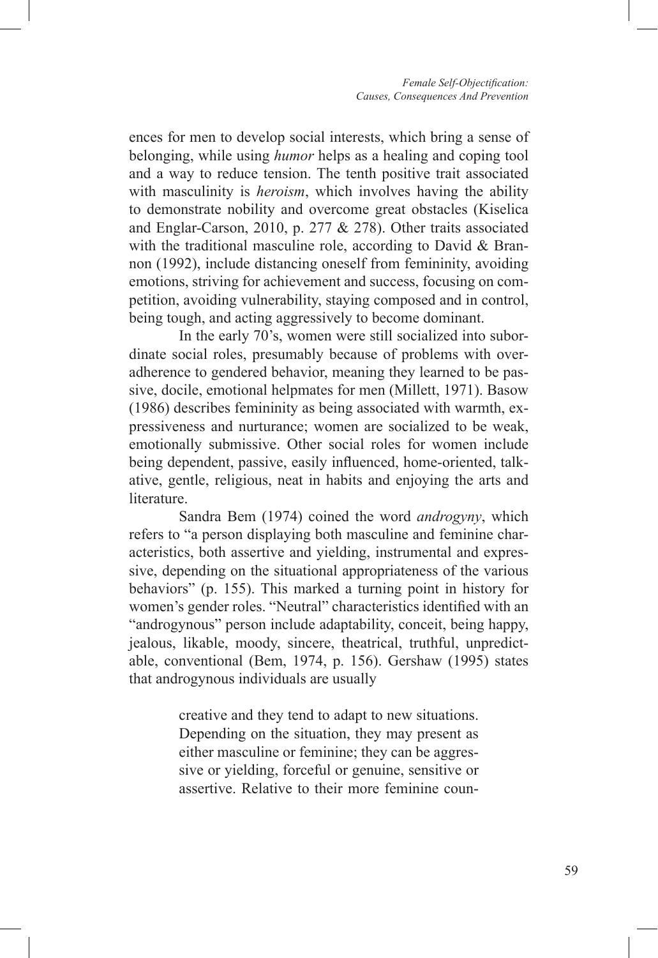ences for men to develop social interests, which bring a sense of belonging, while using *humor* helps as a healing and coping tool and a way to reduce tension. The tenth positive trait associated with masculinity is *heroism*, which involves having the ability to demonstrate nobility and overcome great obstacles (Kiselica and Englar-Carson, 2010, p. 277 & 278). Other traits associated with the traditional masculine role, according to David & Brannon (1992), include distancing oneself from femininity, avoiding emotions, striving for achievement and success, focusing on competition, avoiding vulnerability, staying composed and in control, being tough, and acting aggressively to become dominant.

In the early 70's, women were still socialized into subordinate social roles, presumably because of problems with overadherence to gendered behavior, meaning they learned to be passive, docile, emotional helpmates for men (Millett, 1971). Basow (1986) describes femininity as being associated with warmth, expressiveness and nurturance; women are socialized to be weak, emotionally submissive. Other social roles for women include being dependent, passive, easily influenced, home-oriented, talkative, gentle, religious, neat in habits and enjoying the arts and literature.

Sandra Bem (1974) coined the word *androgyny*, which refers to "a person displaying both masculine and feminine characteristics, both assertive and yielding, instrumental and expressive, depending on the situational appropriateness of the various behaviors" (p. 155). This marked a turning point in history for women's gender roles. "Neutral" characteristics identified with an "androgynous" person include adaptability, conceit, being happy, jealous, likable, moody, sincere, theatrical, truthful, unpredictable, conventional (Bem, 1974, p. 156). Gershaw (1995) states that androgynous individuals are usually

> creative and they tend to adapt to new situations. Depending on the situation, they may present as either masculine or feminine; they can be aggressive or yielding, forceful or genuine, sensitive or assertive. Relative to their more feminine coun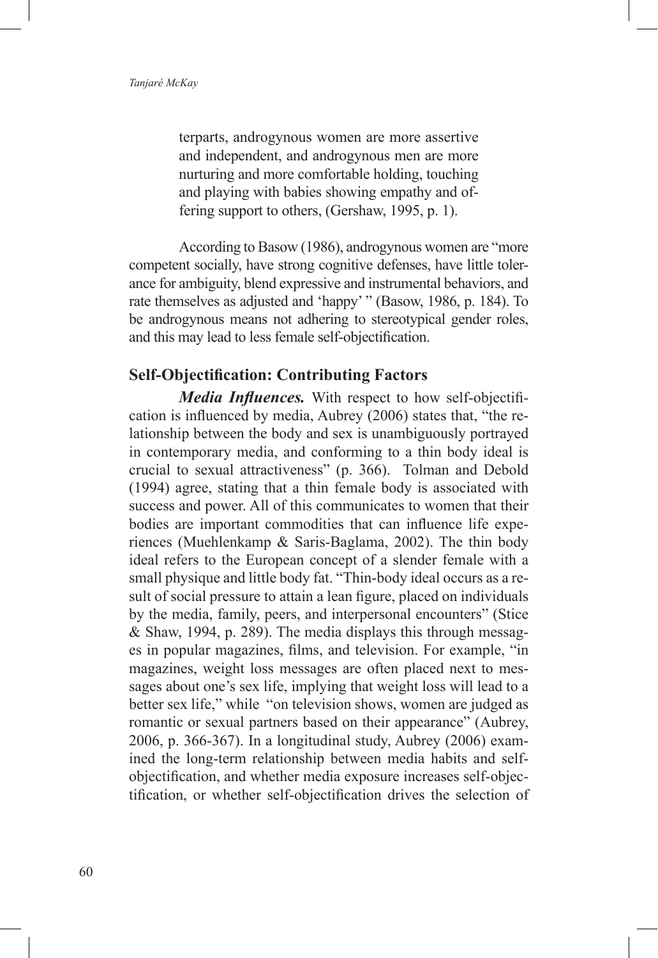terparts, androgynous women are more assertive and independent, and androgynous men are more nurturing and more comfortable holding, touching and playing with babies showing empathy and offering support to others, (Gershaw, 1995, p. 1).

According to Basow (1986), androgynous women are "more competent socially, have strong cognitive defenses, have little tolerance for ambiguity, blend expressive and instrumental behaviors, and rate themselves as adjusted and 'happy' " (Basow, 1986, p. 184). To be androgynous means not adhering to stereotypical gender roles, and this may lead to less female self-objectification.

#### **Self-Objectification: Contributing Factors**

*Media Influences.* With respect to how self-objectification is influenced by media, Aubrey (2006) states that, "the relationship between the body and sex is unambiguously portrayed in contemporary media, and conforming to a thin body ideal is crucial to sexual attractiveness" (p. 366). Tolman and Debold (1994) agree, stating that a thin female body is associated with success and power. All of this communicates to women that their bodies are important commodities that can influence life experiences (Muehlenkamp & Saris-Baglama, 2002). The thin body ideal refers to the European concept of a slender female with a small physique and little body fat. "Thin-body ideal occurs as a result of social pressure to attain a lean figure, placed on individuals by the media, family, peers, and interpersonal encounters" (Stice & Shaw, 1994, p. 289). The media displays this through messages in popular magazines, films, and television. For example, "in magazines, weight loss messages are often placed next to messages about one's sex life, implying that weight loss will lead to a better sex life," while "on television shows, women are judged as romantic or sexual partners based on their appearance" (Aubrey, 2006, p. 366-367). In a longitudinal study, Aubrey (2006) examined the long-term relationship between media habits and selfobjectification, and whether media exposure increases self-objectification, or whether self-objectification drives the selection of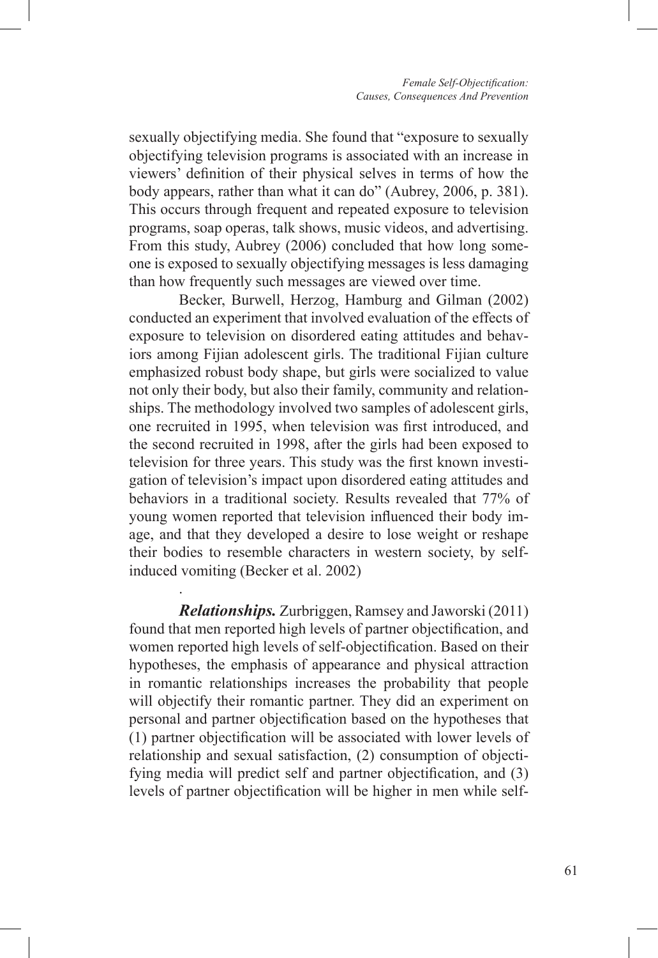sexually objectifying media. She found that "exposure to sexually objectifying television programs is associated with an increase in viewers' definition of their physical selves in terms of how the body appears, rather than what it can do" (Aubrey, 2006, p. 381). This occurs through frequent and repeated exposure to television programs, soap operas, talk shows, music videos, and advertising. From this study, Aubrey (2006) concluded that how long someone is exposed to sexually objectifying messages is less damaging than how frequently such messages are viewed over time.

Becker, Burwell, Herzog, Hamburg and Gilman (2002) conducted an experiment that involved evaluation of the effects of exposure to television on disordered eating attitudes and behaviors among Fijian adolescent girls. The traditional Fijian culture emphasized robust body shape, but girls were socialized to value not only their body, but also their family, community and relationships. The methodology involved two samples of adolescent girls, one recruited in 1995, when television was first introduced, and the second recruited in 1998, after the girls had been exposed to television for three years. This study was the first known investigation of television's impact upon disordered eating attitudes and behaviors in a traditional society. Results revealed that 77% of young women reported that television influenced their body image, and that they developed a desire to lose weight or reshape their bodies to resemble characters in western society, by selfinduced vomiting (Becker et al. 2002)

*Relationships.* Zurbriggen, Ramsey and Jaworski (2011) found that men reported high levels of partner objectification, and women reported high levels of self-objectification. Based on their hypotheses, the emphasis of appearance and physical attraction in romantic relationships increases the probability that people will objectify their romantic partner. They did an experiment on personal and partner objectification based on the hypotheses that (1) partner objectification will be associated with lower levels of relationship and sexual satisfaction, (2) consumption of objectifying media will predict self and partner objectification, and (3) levels of partner objectification will be higher in men while self-

.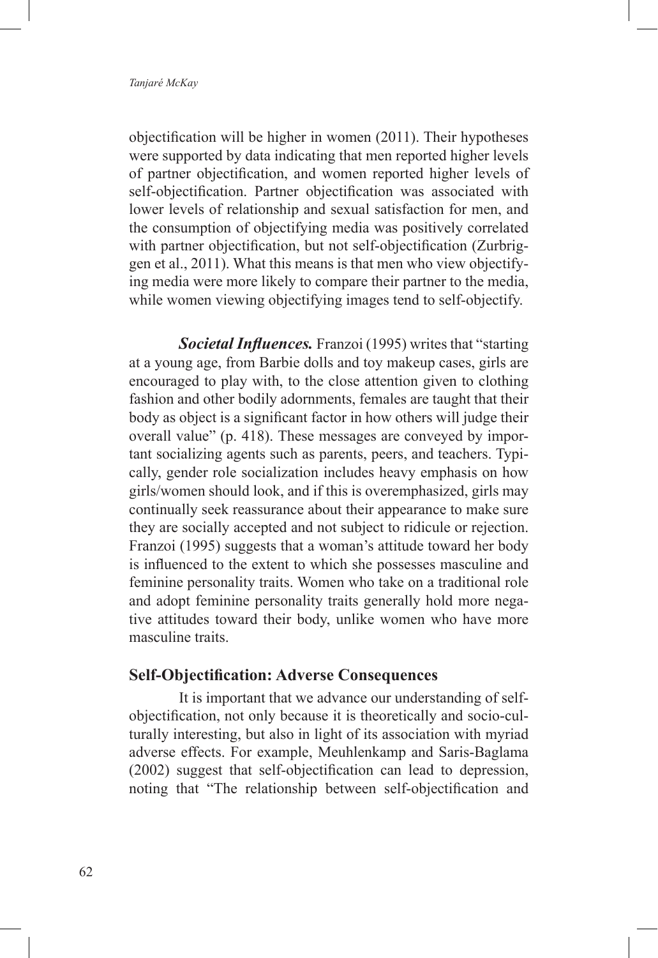objectification will be higher in women (2011). Their hypotheses were supported by data indicating that men reported higher levels of partner objectification, and women reported higher levels of self-objectification. Partner objectification was associated with lower levels of relationship and sexual satisfaction for men, and the consumption of objectifying media was positively correlated with partner objectification, but not self-objectification (Zurbriggen et al., 2011). What this means is that men who view objectifying media were more likely to compare their partner to the media, while women viewing objectifying images tend to self-objectify.

*Societal Influences.* Franzoi (1995) writes that "starting at a young age, from Barbie dolls and toy makeup cases, girls are encouraged to play with, to the close attention given to clothing fashion and other bodily adornments, females are taught that their body as object is a significant factor in how others will judge their overall value" (p. 418). These messages are conveyed by important socializing agents such as parents, peers, and teachers. Typically, gender role socialization includes heavy emphasis on how girls/women should look, and if this is overemphasized, girls may continually seek reassurance about their appearance to make sure they are socially accepted and not subject to ridicule or rejection. Franzoi (1995) suggests that a woman's attitude toward her body is influenced to the extent to which she possesses masculine and feminine personality traits. Women who take on a traditional role and adopt feminine personality traits generally hold more negative attitudes toward their body, unlike women who have more masculine traits.

#### **Self-Objectification: Adverse Consequences**

It is important that we advance our understanding of selfobjectification, not only because it is theoretically and socio-culturally interesting, but also in light of its association with myriad adverse effects. For example, Meuhlenkamp and Saris-Baglama (2002) suggest that self-objectification can lead to depression, noting that "The relationship between self-objectification and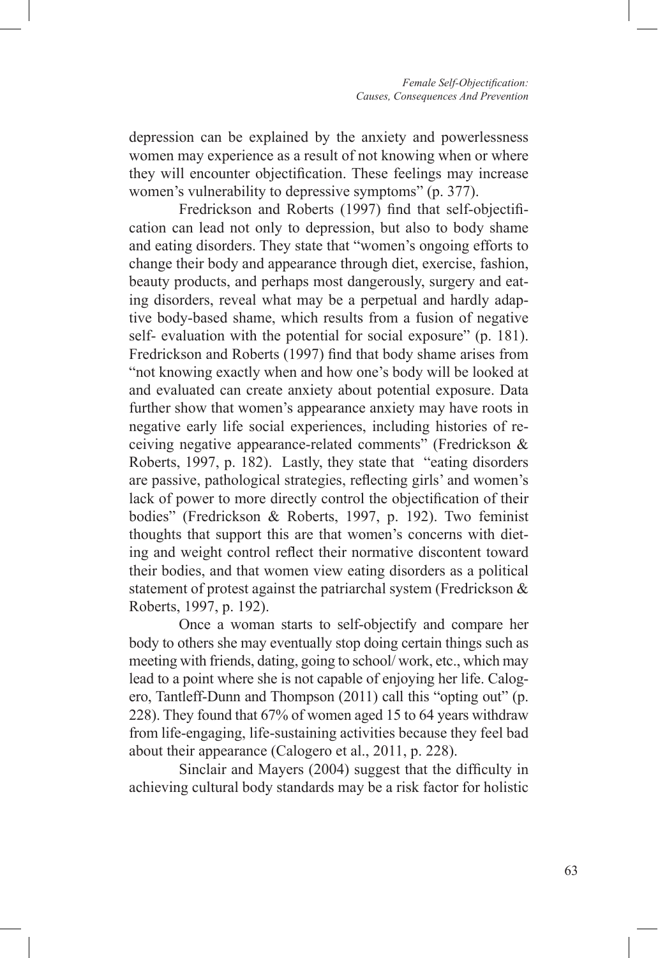depression can be explained by the anxiety and powerlessness women may experience as a result of not knowing when or where they will encounter objectification. These feelings may increase women's vulnerability to depressive symptoms" (p. 377).

Fredrickson and Roberts (1997) find that self-objectification can lead not only to depression, but also to body shame and eating disorders. They state that "women's ongoing efforts to change their body and appearance through diet, exercise, fashion, beauty products, and perhaps most dangerously, surgery and eating disorders, reveal what may be a perpetual and hardly adaptive body-based shame, which results from a fusion of negative self- evaluation with the potential for social exposure" (p. 181). Fredrickson and Roberts (1997) find that body shame arises from "not knowing exactly when and how one's body will be looked at and evaluated can create anxiety about potential exposure. Data further show that women's appearance anxiety may have roots in negative early life social experiences, including histories of receiving negative appearance-related comments" (Fredrickson & Roberts, 1997, p. 182). Lastly, they state that "eating disorders are passive, pathological strategies, reflecting girls' and women's lack of power to more directly control the objectification of their bodies" (Fredrickson & Roberts, 1997, p. 192). Two feminist thoughts that support this are that women's concerns with dieting and weight control reflect their normative discontent toward their bodies, and that women view eating disorders as a political statement of protest against the patriarchal system (Fredrickson & Roberts, 1997, p. 192).

Once a woman starts to self-objectify and compare her body to others she may eventually stop doing certain things such as meeting with friends, dating, going to school/ work, etc., which may lead to a point where she is not capable of enjoying her life. Calogero, Tantleff-Dunn and Thompson (2011) call this "opting out" (p. 228). They found that 67% of women aged 15 to 64 years withdraw from life-engaging, life-sustaining activities because they feel bad about their appearance (Calogero et al., 2011, p. 228).

Sinclair and Mayers (2004) suggest that the difficulty in achieving cultural body standards may be a risk factor for holistic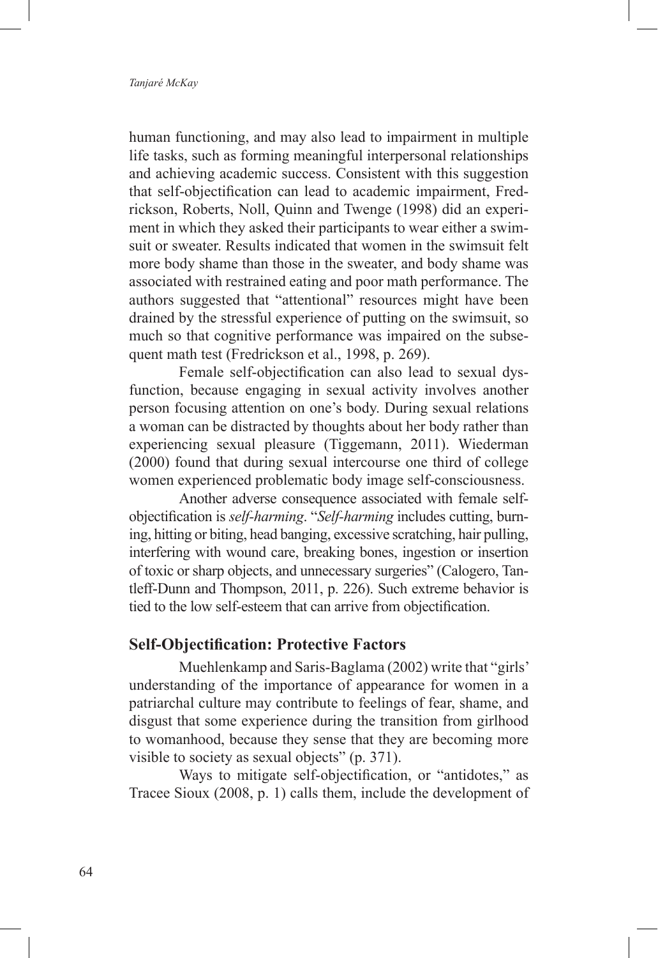human functioning, and may also lead to impairment in multiple life tasks, such as forming meaningful interpersonal relationships and achieving academic success. Consistent with this suggestion that self-objectification can lead to academic impairment, Fredrickson, Roberts, Noll, Quinn and Twenge (1998) did an experiment in which they asked their participants to wear either a swimsuit or sweater. Results indicated that women in the swimsuit felt more body shame than those in the sweater, and body shame was associated with restrained eating and poor math performance. The authors suggested that "attentional" resources might have been drained by the stressful experience of putting on the swimsuit, so much so that cognitive performance was impaired on the subsequent math test (Fredrickson et al., 1998, p. 269).

Female self-objectification can also lead to sexual dysfunction, because engaging in sexual activity involves another person focusing attention on one's body. During sexual relations a woman can be distracted by thoughts about her body rather than experiencing sexual pleasure (Tiggemann, 2011). Wiederman (2000) found that during sexual intercourse one third of college women experienced problematic body image self-consciousness.

Another adverse consequence associated with female selfobjectification is *self-harming*. "*Self-harming* includes cutting, burning, hitting or biting, head banging, excessive scratching, hair pulling, interfering with wound care, breaking bones, ingestion or insertion of toxic or sharp objects, and unnecessary surgeries" (Calogero, Tantleff-Dunn and Thompson, 2011, p. 226). Such extreme behavior is tied to the low self-esteem that can arrive from objectification.

#### **Self-Objectification: Protective Factors**

Muehlenkamp and Saris-Baglama (2002) write that "girls' understanding of the importance of appearance for women in a patriarchal culture may contribute to feelings of fear, shame, and disgust that some experience during the transition from girlhood to womanhood, because they sense that they are becoming more visible to society as sexual objects" (p. 371).

Ways to mitigate self-objectification, or "antidotes," as Tracee Sioux (2008, p. 1) calls them, include the development of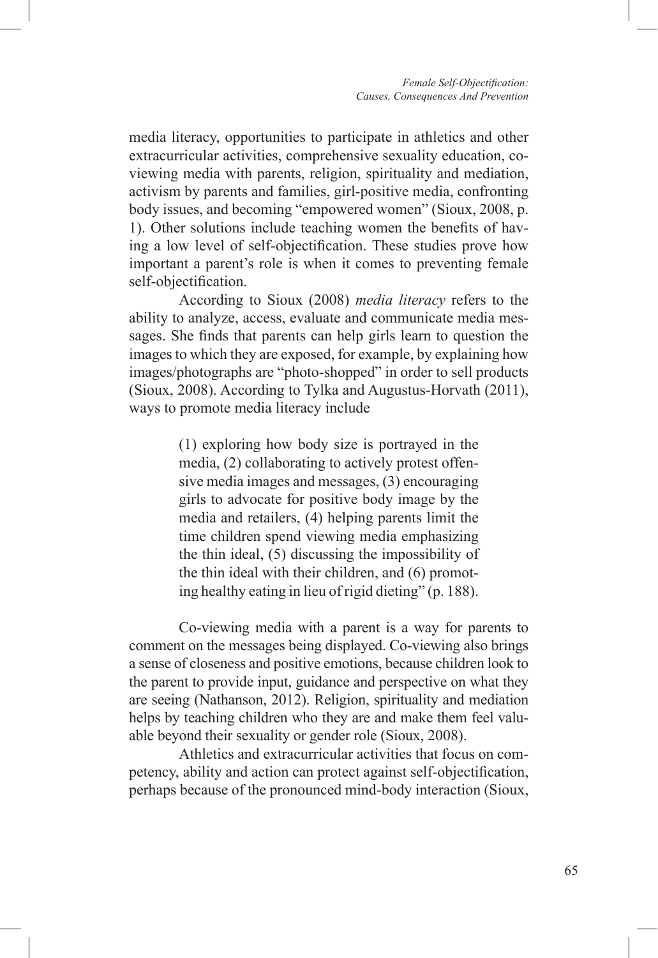media literacy, opportunities to participate in athletics and other extracurricular activities, comprehensive sexuality education, coviewing media with parents, religion, spirituality and mediation, activism by parents and families, girl-positive media, confronting body issues, and becoming "empowered women" (Sioux, 2008, p. 1). Other solutions include teaching women the benefits of having a low level of self-objectification. These studies prove how important a parent's role is when it comes to preventing female self-objectification.

According to Sioux (2008) *media literacy* refers to the ability to analyze, access, evaluate and communicate media messages. She finds that parents can help girls learn to question the images to which they are exposed, for example, by explaining how images/photographs are "photo-shopped" in order to sell products (Sioux, 2008). According to Tylka and Augustus-Horvath (2011), ways to promote media literacy include

> (1) exploring how body size is portrayed in the media, (2) collaborating to actively protest offensive media images and messages, (3) encouraging girls to advocate for positive body image by the media and retailers, (4) helping parents limit the time children spend viewing media emphasizing the thin ideal, (5) discussing the impossibility of the thin ideal with their children, and (6) promoting healthy eating in lieu of rigid dieting" (p. 188).

Co-viewing media with a parent is a way for parents to comment on the messages being displayed. Co-viewing also brings a sense of closeness and positive emotions, because children look to the parent to provide input, guidance and perspective on what they are seeing (Nathanson, 2012). Religion, spirituality and mediation helps by teaching children who they are and make them feel valuable beyond their sexuality or gender role (Sioux, 2008).

Athletics and extracurricular activities that focus on competency, ability and action can protect against self-objectification, perhaps because of the pronounced mind-body interaction (Sioux,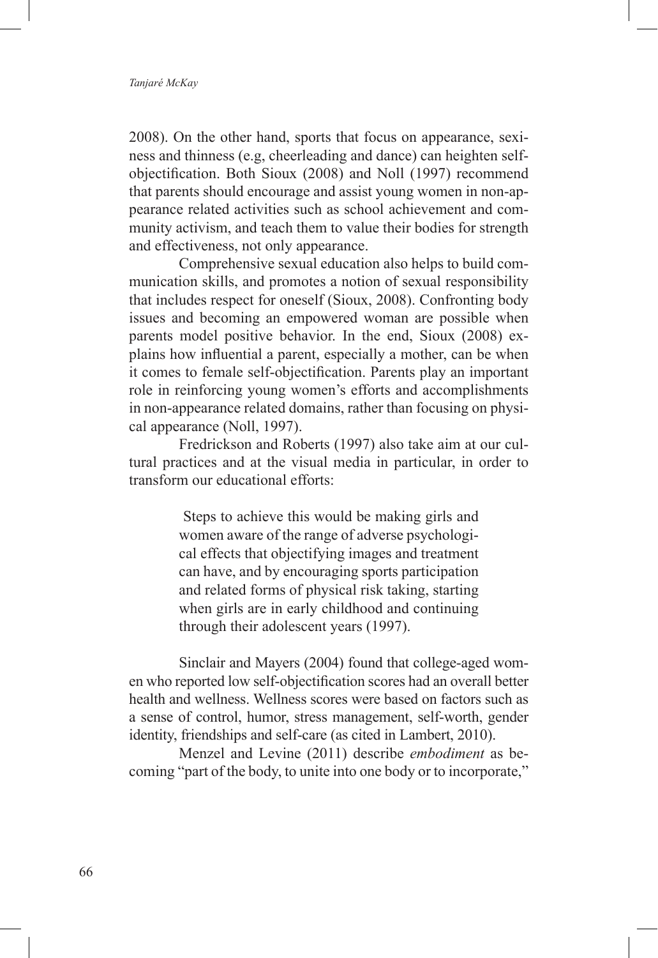#### *Tanjaré McKay*

2008). On the other hand, sports that focus on appearance, sexiness and thinness (e.g, cheerleading and dance) can heighten selfobjectification. Both Sioux (2008) and Noll (1997) recommend that parents should encourage and assist young women in non-appearance related activities such as school achievement and community activism, and teach them to value their bodies for strength and effectiveness, not only appearance.

Comprehensive sexual education also helps to build communication skills, and promotes a notion of sexual responsibility that includes respect for oneself (Sioux, 2008). Confronting body issues and becoming an empowered woman are possible when parents model positive behavior. In the end, Sioux (2008) explains how influential a parent, especially a mother, can be when it comes to female self-objectification. Parents play an important role in reinforcing young women's efforts and accomplishments in non-appearance related domains, rather than focusing on physical appearance (Noll, 1997).

Fredrickson and Roberts (1997) also take aim at our cultural practices and at the visual media in particular, in order to transform our educational efforts:

> Steps to achieve this would be making girls and women aware of the range of adverse psychological effects that objectifying images and treatment can have, and by encouraging sports participation and related forms of physical risk taking, starting when girls are in early childhood and continuing through their adolescent years (1997).

Sinclair and Mayers (2004) found that college-aged women who reported low self-objectification scores had an overall better health and wellness. Wellness scores were based on factors such as a sense of control, humor, stress management, self-worth, gender identity, friendships and self-care (as cited in Lambert, 2010).

Menzel and Levine (2011) describe *embodiment* as becoming "part of the body, to unite into one body or to incorporate,"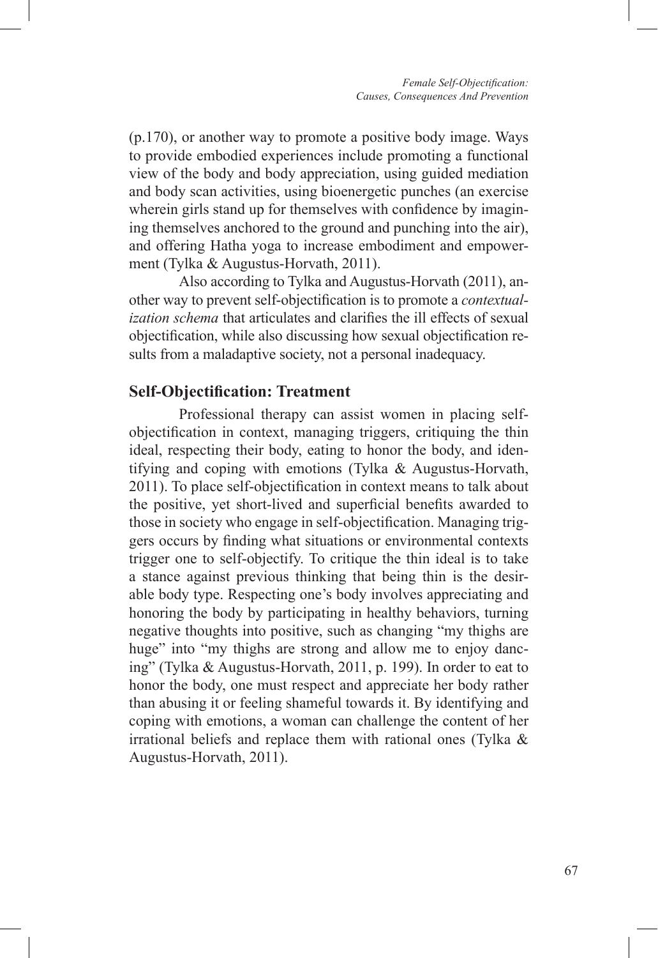(p.170), or another way to promote a positive body image. Ways to provide embodied experiences include promoting a functional view of the body and body appreciation, using guided mediation and body scan activities, using bioenergetic punches (an exercise wherein girls stand up for themselves with confidence by imagining themselves anchored to the ground and punching into the air), and offering Hatha yoga to increase embodiment and empowerment (Tylka & Augustus-Horvath, 2011).

Also according to Tylka and Augustus-Horvath (2011), another way to prevent self-objectification is to promote a *contextualization schema* that articulates and clarifies the ill effects of sexual objectification, while also discussing how sexual objectification results from a maladaptive society, not a personal inadequacy.

### **Self-Objectification: Treatment**

Professional therapy can assist women in placing selfobjectification in context, managing triggers, critiquing the thin ideal, respecting their body, eating to honor the body, and identifying and coping with emotions (Tylka & Augustus-Horvath, 2011). To place self-objectification in context means to talk about the positive, yet short-lived and superficial benefits awarded to those in society who engage in self-objectification. Managing triggers occurs by finding what situations or environmental contexts trigger one to self-objectify. To critique the thin ideal is to take a stance against previous thinking that being thin is the desirable body type. Respecting one's body involves appreciating and honoring the body by participating in healthy behaviors, turning negative thoughts into positive, such as changing "my thighs are huge" into "my thighs are strong and allow me to enjoy dancing" (Tylka & Augustus-Horvath, 2011, p. 199). In order to eat to honor the body, one must respect and appreciate her body rather than abusing it or feeling shameful towards it. By identifying and coping with emotions, a woman can challenge the content of her irrational beliefs and replace them with rational ones (Tylka & Augustus-Horvath, 2011).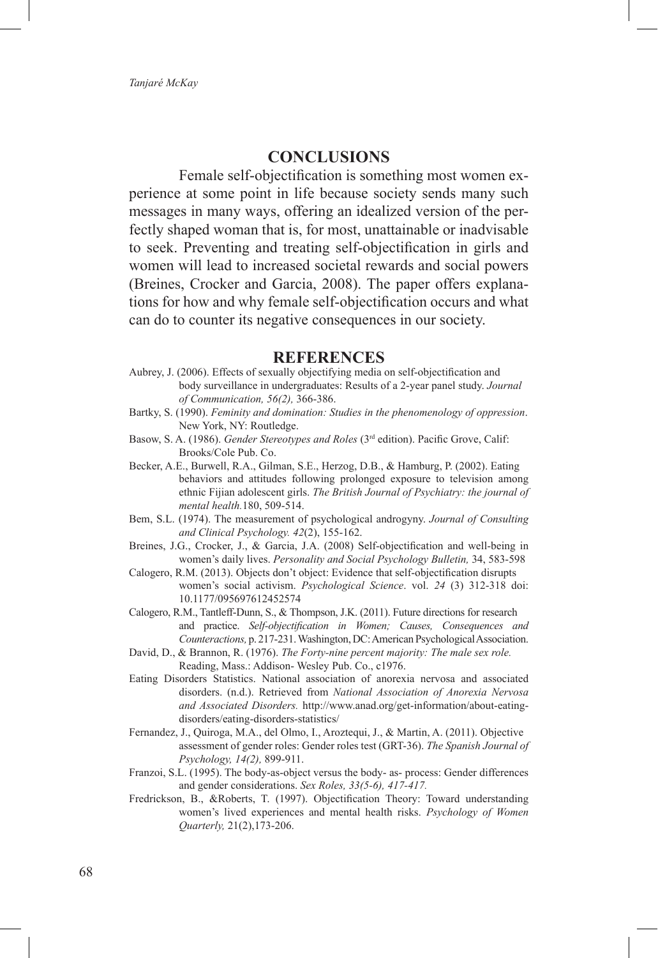#### **CONCLUSIONS**

Female self-objectification is something most women experience at some point in life because society sends many such messages in many ways, offering an idealized version of the perfectly shaped woman that is, for most, unattainable or inadvisable to seek. Preventing and treating self-objectification in girls and women will lead to increased societal rewards and social powers (Breines, Crocker and Garcia, 2008). The paper offers explanations for how and why female self-objectification occurs and what can do to counter its negative consequences in our society.

#### **REFERENCES**

- Aubrey, J. (2006). Effects of sexually objectifying media on self-objectification and body surveillance in undergraduates: Results of a 2-year panel study. *Journal of Communication, 56(2),* 366-386.
- Bartky, S. (1990). *Feminity and domination: Studies in the phenomenology of oppression*. New York, NY: Routledge.
- Basow, S. A. (1986). *Gender Stereotypes and Roles* (3rd edition). Pacific Grove, Calif: Brooks/Cole Pub. Co.
- Becker, A.E., Burwell, R.A., Gilman, S.E., Herzog, D.B., & Hamburg, P. (2002). Eating behaviors and attitudes following prolonged exposure to television among ethnic Fijian adolescent girls. *The British Journal of Psychiatry: the journal of mental health.*180, 509-514.
- Bem, S.L. (1974). The measurement of psychological androgyny. *Journal of Consulting and Clinical Psychology. 42*(2), 155-162.
- Breines, J.G., Crocker, J., & Garcia, J.A. (2008) Self-objectification and well-being in women's daily lives. *Personality and Social Psychology Bulletin,* 34, 583-598
- Calogero, R.M. (2013). Objects don't object: Evidence that self-objectification disrupts women's social activism. *Psychological Science*. vol. *24* (3) 312-318 doi: 10.1177/095697612452574
- Calogero, R.M., Tantleff-Dunn, S., & Thompson, J.K. (2011). Future directions for research and practice. *Self-objectification in Women; Causes, Consequences and Counteractions,* p. 217-231. Washington, DC: American Psychological Association.
- David, D., & Brannon, R. (1976). *The Forty-nine percent majority: The male sex role.*  Reading, Mass.: Addison- Wesley Pub. Co., c1976.
- Eating Disorders Statistics. National association of anorexia nervosa and associated disorders. (n.d.). Retrieved from *National Association of Anorexia Nervosa and Associated Disorders.* http://www.anad.org/get-information/about-eatingdisorders/eating-disorders-statistics/
- Fernandez, J., Quiroga, M.A., del Olmo, I., Aroztequi, J., & Martin, A. (2011). Objective assessment of gender roles: Gender roles test (GRT-36). *The Spanish Journal of Psychology, 14(2),* 899-911.
- Franzoi, S.L. (1995). The body-as-object versus the body- as- process: Gender differences and gender considerations. *Sex Roles, 33(5-6), 417-417.*
- Fredrickson, B., &Roberts, T. (1997). Objectification Theory: Toward understanding women's lived experiences and mental health risks. *Psychology of Women Quarterly,* 21(2),173-206.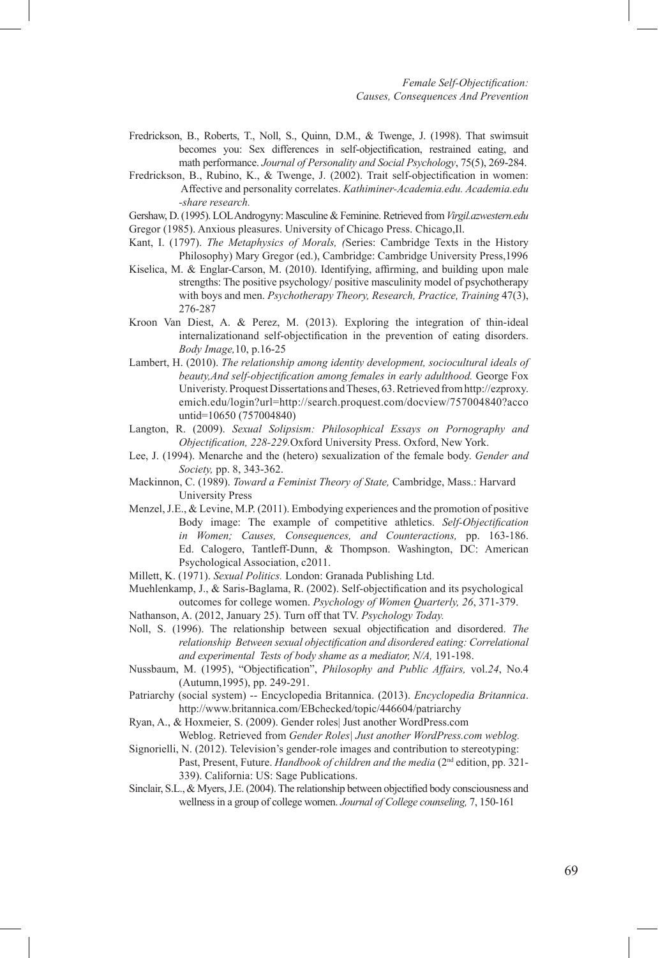- Fredrickson, B., Roberts, T., Noll, S., Quinn, D.M., & Twenge, J. (1998). That swimsuit becomes you: Sex differences in self-objectification, restrained eating, and math performance. *Journal of Personality and Social Psychology*, 75(5), 269-284.
- Fredrickson, B., Rubino, K., & Twenge, J. (2002). Trait self-objectification in women: Affective and personality correlates. *Kathiminer-Academia.edu. Academia.edu -share research.*
- Gershaw, D. (1995). LOL Androgyny: Masculine & Feminine. Retrieved from *Virgil.azwestern.edu*  Gregor (1985). Anxious pleasures. University of Chicago Press. Chicago,Il.
- Kant, I. (1797). *The Metaphysics of Morals, (*Series: Cambridge Texts in the History Philosophy) Mary Gregor (ed.), Cambridge: Cambridge University Press,1996
- Kiselica, M. & Englar-Carson, M. (2010). Identifying, affirming, and building upon male strengths: The positive psychology/ positive masculinity model of psychotherapy with boys and men. *Psychotherapy Theory, Research, Practice, Training* 47(3), 276-287
- Kroon Van Diest, A. & Perez, M. (2013). Exploring the integration of thin-ideal internalizationand self-objectification in the prevention of eating disorders. *Body Image,*10, p.16-25
- Lambert, H. (2010). *The relationship among identity development, sociocultural ideals of beauty,And self-objectification among females in early adulthood.* George Fox Univeristy. Proquest Dissertations and Theses, 63. Retrieved from http://ezproxy. emich.edu/login?url=http://search.proquest.com/docview/757004840?acco untid=10650 (757004840)
- Langton, R. (2009). *Sexual Solipsism: Philosophical Essays on Pornography and Objectification, 228-229.*Oxford University Press. Oxford, New York.
- Lee, J. (1994). Menarche and the (hetero) sexualization of the female body. *Gender and Society,* pp. 8, 343-362.
- Mackinnon, C. (1989). *Toward a Feminist Theory of State,* Cambridge, Mass.: Harvard University Press
- Menzel, J.E., & Levine, M.P. (2011). Embodying experiences and the promotion of positive Body image: The example of competitive athletics. *Self-Objectification in Women; Causes, Consequences, and Counteractions,* pp. 163-186. Ed. Calogero, Tantleff-Dunn, & Thompson. Washington, DC: American Psychological Association, c2011.
- Millett, K. (1971). *Sexual Politics.* London: Granada Publishing Ltd.
- Muehlenkamp, J., & Saris-Baglama, R. (2002). Self-objectification and its psychological outcomes for college women. *Psychology of Women Quarterly, 26*, 371-379.
- Nathanson, A. (2012, January 25). Turn off that TV. *Psychology Today.*
- Noll, S. (1996). The relationship between sexual objectification and disordered. *The relationship Between sexual objectification and disordered eating: Correlational and experimental Tests of body shame as a mediator, N/A,* 191-198.
- Nussbaum, M. (1995), "Objectification", *Philosophy and Public Affairs,* vol.*24*, No.4 (Autumn,1995), pp. 249-291.
- Patriarchy (social system) -- Encyclopedia Britannica. (2013). *Encyclopedia Britannica*. http://www.britannica.com/EBchecked/topic/446604/patriarchy
- Ryan, A., & Hoxmeier, S. (2009). Gender roles| Just another WordPress.com
	- Weblog. Retrieved from *Gender Roles| Just another WordPress.com weblog.*
- Signorielli, N. (2012). Television's gender-role images and contribution to stereotyping: Past, Present, Future. *Handbook of children and the media* (2<sup>nd</sup> edition, pp. 321-339). California: US: Sage Publications.
- Sinclair, S.L., & Myers, J.E. (2004). The relationship between objectified body consciousness and wellness in a group of college women. *Journal of College counseling,* 7, 150-161